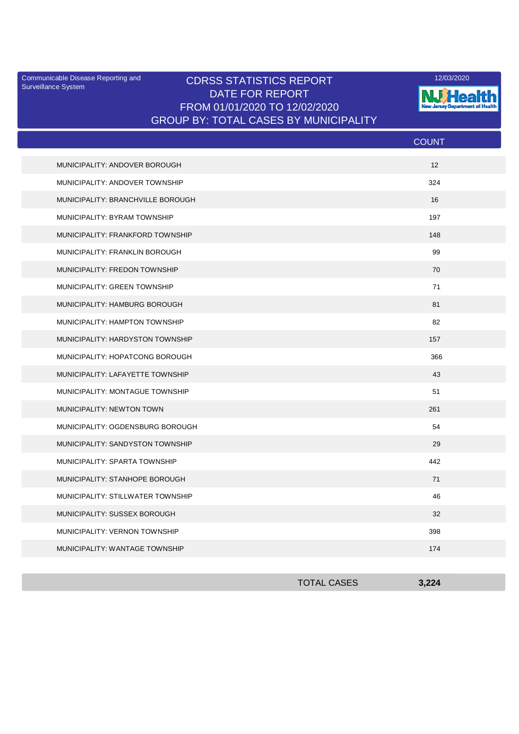Surveillance System

## Communicable Disease Reporting and **CDRSS STATISTICS REPORT** 12/03/2020<br>Surveillance Statem DATE FOR REPORT FROM 01/01/2020 TO 12/02/2020 GROUP BY: TOTAL CASES BY MUNICIPALITY



|                                   | <b>COUNT</b> |
|-----------------------------------|--------------|
| MUNICIPALITY: ANDOVER BOROUGH     | 12           |
| MUNICIPALITY: ANDOVER TOWNSHIP    | 324          |
| MUNICIPALITY: BRANCHVILLE BOROUGH | 16           |
| MUNICIPALITY: BYRAM TOWNSHIP      | 197          |
| MUNICIPALITY: FRANKFORD TOWNSHIP  | 148          |
| MUNICIPALITY: FRANKLIN BOROUGH    | 99           |
| MUNICIPALITY: FREDON TOWNSHIP     | 70           |
| MUNICIPALITY: GREEN TOWNSHIP      | 71           |
| MUNICIPALITY: HAMBURG BOROUGH     | 81           |
| MUNICIPALITY: HAMPTON TOWNSHIP    | 82           |
| MUNICIPALITY: HARDYSTON TOWNSHIP  | 157          |
| MUNICIPALITY: HOPATCONG BOROUGH   | 366          |
| MUNICIPALITY: LAFAYETTE TOWNSHIP  | 43           |
| MUNICIPALITY: MONTAGUE TOWNSHIP   | 51           |
| <b>MUNICIPALITY: NEWTON TOWN</b>  | 261          |
| MUNICIPALITY: OGDENSBURG BOROUGH  | 54           |
| MUNICIPALITY: SANDYSTON TOWNSHIP  | 29           |
| MUNICIPALITY: SPARTA TOWNSHIP     | 442          |
| MUNICIPALITY: STANHOPE BOROUGH    | 71           |
| MUNICIPALITY: STILLWATER TOWNSHIP | 46           |
| MUNICIPALITY: SUSSEX BOROUGH      | 32           |
| MUNICIPALITY: VERNON TOWNSHIP     | 398          |
| MUNICIPALITY: WANTAGE TOWNSHIP    | 174          |

| <b>TOTAL CASES</b> | 3,224 |
|--------------------|-------|
|                    |       |